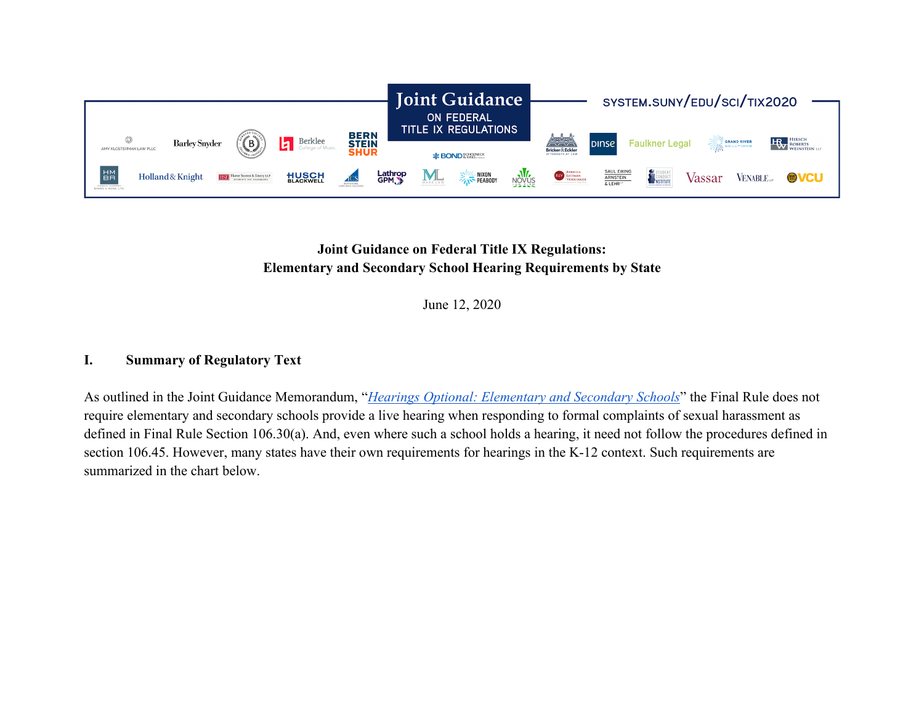

## **Joint Guidance on Federal Title IX Regulations: Elementary and Secondary School Hearing Requirements by State**

June 12, 2020

## **I. Summary of Regulatory Text**

As outlined in the Joint Guidance Memorandum, "*[Hearings Optional: Elementary and Secondary Schools](https://system.suny.edu/media/suny/content-assets/documents/sci/tix2020/Hearings-Optional---Elementary-and-Secondary.pdf)*" the Final Rule does not require elementary and secondary schools provide a live hearing when responding to formal complaints of sexual harassment as defined in Final Rule Section 106.30(a). And, even where such a school holds a hearing, it need not follow the procedures defined in section 106.45. However, many states have their own requirements for hearings in the K-12 context. Such requirements are summarized in the chart below.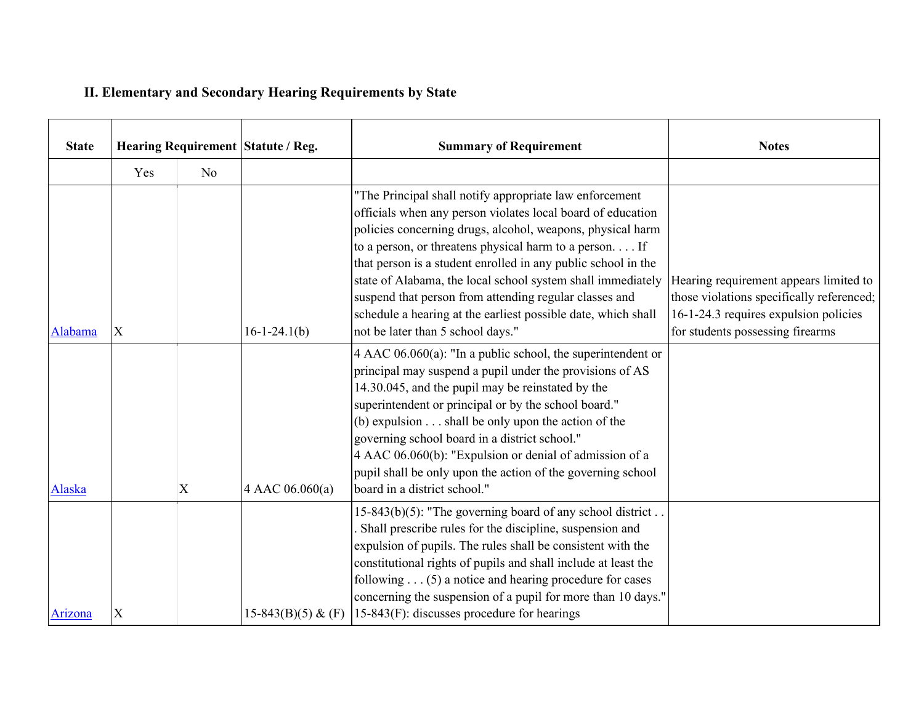## **II. Elementary and Secondary Hearing Requirements by State**

| <b>State</b> | Hearing Requirement Statute / Reg. |                |                      | <b>Summary of Requirement</b>                                                                                                                                                                                                                                                                                                                                                                                                                                                                                                                   | <b>Notes</b>                                                                                                                                                     |
|--------------|------------------------------------|----------------|----------------------|-------------------------------------------------------------------------------------------------------------------------------------------------------------------------------------------------------------------------------------------------------------------------------------------------------------------------------------------------------------------------------------------------------------------------------------------------------------------------------------------------------------------------------------------------|------------------------------------------------------------------------------------------------------------------------------------------------------------------|
|              | Yes                                | N <sub>o</sub> |                      |                                                                                                                                                                                                                                                                                                                                                                                                                                                                                                                                                 |                                                                                                                                                                  |
| Alabama      | X                                  |                | $16-1-24.1(b)$       | "The Principal shall notify appropriate law enforcement<br>officials when any person violates local board of education<br>policies concerning drugs, alcohol, weapons, physical harm<br>to a person, or threatens physical harm to a person. If<br>that person is a student enrolled in any public school in the<br>state of Alabama, the local school system shall immediately<br>suspend that person from attending regular classes and<br>schedule a hearing at the earliest possible date, which shall<br>not be later than 5 school days." | Hearing requirement appears limited to<br>those violations specifically referenced;<br>16-1-24.3 requires expulsion policies<br>for students possessing firearms |
| Alaska       |                                    | $\mathbf X$    | 4 AAC 06.060(a)      | 4 AAC $06.060(a)$ : "In a public school, the superintendent or<br>principal may suspend a pupil under the provisions of AS<br>14.30.045, and the pupil may be reinstated by the<br>superintendent or principal or by the school board."<br>(b) expulsion $\dots$ shall be only upon the action of the<br>governing school board in a district school."<br>4 AAC 06.060(b): "Expulsion or denial of admission of a<br>pupil shall be only upon the action of the governing school<br>board in a district school."                                |                                                                                                                                                                  |
| Arizona      | $\mathbf X$                        |                | $15-843(B)(5)$ & (F) | 15-843(b)(5): "The governing board of any school district<br>Shall prescribe rules for the discipline, suspension and<br>expulsion of pupils. The rules shall be consistent with the<br>constitutional rights of pupils and shall include at least the<br>following $\dots$ (5) a notice and hearing procedure for cases<br>concerning the suspension of a pupil for more than 10 days."<br>$15-843(F)$ : discusses procedure for hearings                                                                                                      |                                                                                                                                                                  |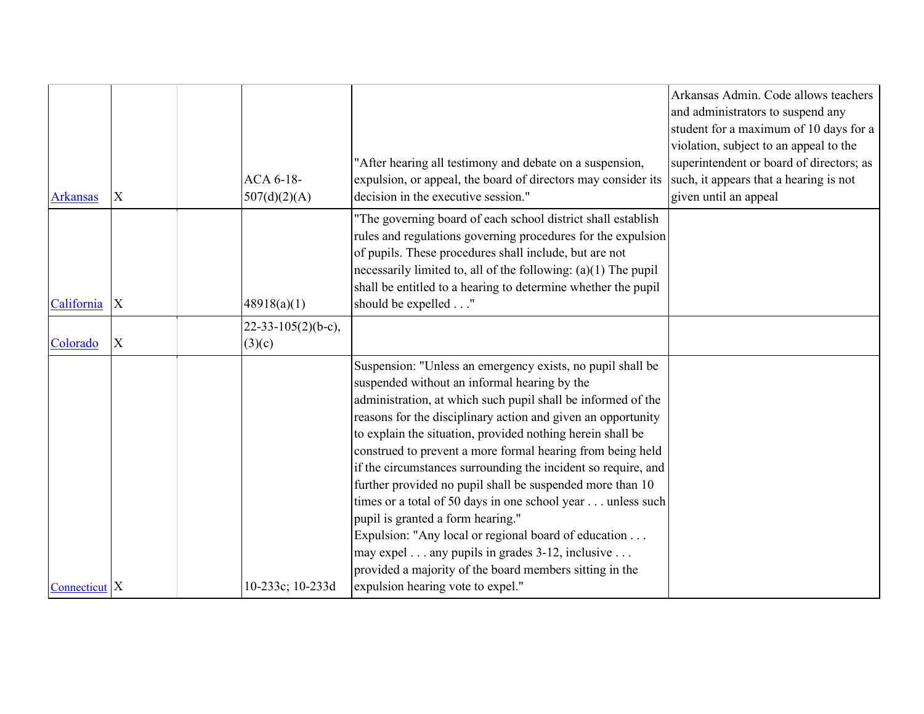|                 |                           |                      |                                                                                                                            | Arkansas Admin. Code allows teachers<br>and administrators to suspend any<br>student for a maximum of 10 days for a |
|-----------------|---------------------------|----------------------|----------------------------------------------------------------------------------------------------------------------------|---------------------------------------------------------------------------------------------------------------------|
|                 |                           |                      |                                                                                                                            | violation, subject to an appeal to the                                                                              |
|                 |                           |                      | "After hearing all testimony and debate on a suspension,                                                                   | superintendent or board of directors; as                                                                            |
|                 | X                         | ACA 6-18-            | expulsion, or appeal, the board of directors may consider its<br>decision in the executive session."                       | such, it appears that a hearing is not<br>given until an appeal                                                     |
| <b>Arkansas</b> |                           | 507(d)(2)(A)         |                                                                                                                            |                                                                                                                     |
|                 |                           |                      | "The governing board of each school district shall establish                                                               |                                                                                                                     |
|                 |                           |                      | rules and regulations governing procedures for the expulsion                                                               |                                                                                                                     |
|                 |                           |                      | of pupils. These procedures shall include, but are not<br>necessarily limited to, all of the following: $(a)(1)$ The pupil |                                                                                                                     |
|                 |                           |                      | shall be entitled to a hearing to determine whether the pupil                                                              |                                                                                                                     |
| California      | X                         | 48918(a)(1)          | should be expelled"                                                                                                        |                                                                                                                     |
|                 |                           | $22-33-105(2)(b-c),$ |                                                                                                                            |                                                                                                                     |
| Colorado        | $\boldsymbol{\mathrm{X}}$ | (3)(c)               |                                                                                                                            |                                                                                                                     |
|                 |                           |                      | Suspension: "Unless an emergency exists, no pupil shall be                                                                 |                                                                                                                     |
|                 |                           |                      | suspended without an informal hearing by the                                                                               |                                                                                                                     |
|                 |                           |                      | administration, at which such pupil shall be informed of the                                                               |                                                                                                                     |
|                 |                           |                      | reasons for the disciplinary action and given an opportunity                                                               |                                                                                                                     |
|                 |                           |                      | to explain the situation, provided nothing herein shall be                                                                 |                                                                                                                     |
|                 |                           |                      | construed to prevent a more formal hearing from being held                                                                 |                                                                                                                     |
|                 |                           |                      | if the circumstances surrounding the incident so require, and                                                              |                                                                                                                     |
|                 |                           |                      | further provided no pupil shall be suspended more than 10<br>times or a total of 50 days in one school year unless such    |                                                                                                                     |
|                 |                           |                      | pupil is granted a form hearing."                                                                                          |                                                                                                                     |
|                 |                           |                      | Expulsion: "Any local or regional board of education                                                                       |                                                                                                                     |
|                 |                           |                      | may expel any pupils in grades 3-12, inclusive                                                                             |                                                                                                                     |
|                 |                           |                      | provided a majority of the board members sitting in the                                                                    |                                                                                                                     |
| Connecticut $X$ |                           | 10-233c; 10-233d     | expulsion hearing vote to expel."                                                                                          |                                                                                                                     |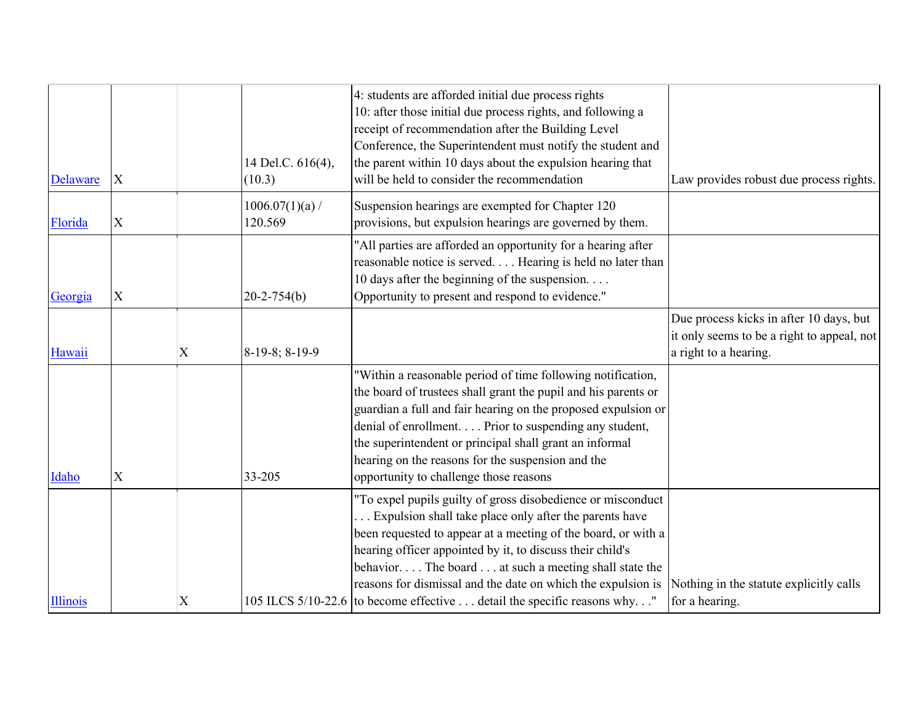| Delaware        | X           |   | 14 Del.C. 616(4),<br>(10.3) | 4: students are afforded initial due process rights<br>10: after those initial due process rights, and following a<br>receipt of recommendation after the Building Level<br>Conference, the Superintendent must notify the student and<br>the parent within 10 days about the expulsion hearing that<br>will be held to consider the recommendation                                                                                                      | Law provides robust due process rights.                                                                        |
|-----------------|-------------|---|-----------------------------|----------------------------------------------------------------------------------------------------------------------------------------------------------------------------------------------------------------------------------------------------------------------------------------------------------------------------------------------------------------------------------------------------------------------------------------------------------|----------------------------------------------------------------------------------------------------------------|
| Florida         | $\mathbf X$ |   | 1006.07(1)(a)<br>120.569    | Suspension hearings are exempted for Chapter 120<br>provisions, but expulsion hearings are governed by them.                                                                                                                                                                                                                                                                                                                                             |                                                                                                                |
| Georgia         | X           |   | $20 - 2 - 754(b)$           | "All parties are afforded an opportunity for a hearing after<br>reasonable notice is served Hearing is held no later than<br>10 days after the beginning of the suspension<br>Opportunity to present and respond to evidence."                                                                                                                                                                                                                           |                                                                                                                |
| Hawaii          |             | X | 8-19-8; 8-19-9              |                                                                                                                                                                                                                                                                                                                                                                                                                                                          | Due process kicks in after 10 days, but<br>it only seems to be a right to appeal, not<br>a right to a hearing. |
| Idaho           | X           |   | 33-205                      | "Within a reasonable period of time following notification,<br>the board of trustees shall grant the pupil and his parents or<br>guardian a full and fair hearing on the proposed expulsion or<br>denial of enrollment. Prior to suspending any student,<br>the superintendent or principal shall grant an informal<br>hearing on the reasons for the suspension and the<br>opportunity to challenge those reasons                                       |                                                                                                                |
| <b>Illinois</b> |             | X |                             | "To expel pupils guilty of gross disobedience or misconduct<br>Expulsion shall take place only after the parents have<br>been requested to appear at a meeting of the board, or with a<br>hearing officer appointed by it, to discuss their child's<br>behavior The board  at such a meeting shall state the<br>reasons for dismissal and the date on which the expulsion is<br>105 ILCS 5/10-22.6 to become effective detail the specific reasons why." | Nothing in the statute explicitly calls<br>for a hearing.                                                      |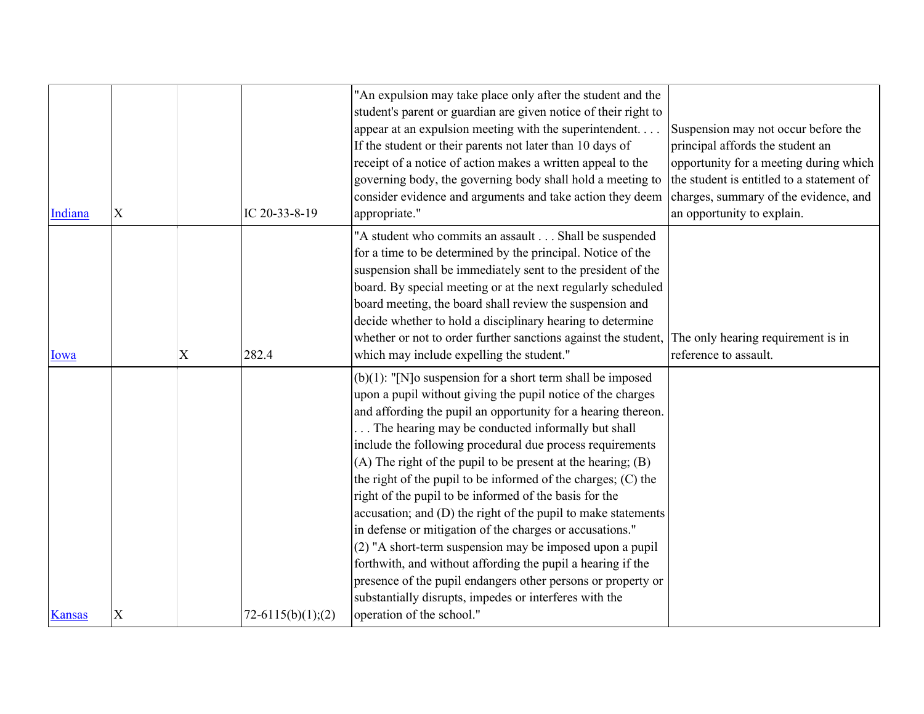| Indiana       | $\mathbf X$ |             | IC 20-33-8-19       | 'An expulsion may take place only after the student and the<br>student's parent or guardian are given notice of their right to<br>appear at an expulsion meeting with the superintendent<br>If the student or their parents not later than 10 days of<br>receipt of a notice of action makes a written appeal to the<br>governing body, the governing body shall hold a meeting to<br>consider evidence and arguments and take action they deem<br>appropriate."                                                                                                                                                                                                                                                                                                                                                                                                                                                              | Suspension may not occur before the<br>principal affords the student an<br>opportunity for a meeting during which<br>the student is entitled to a statement of<br>charges, summary of the evidence, and<br>an opportunity to explain. |
|---------------|-------------|-------------|---------------------|-------------------------------------------------------------------------------------------------------------------------------------------------------------------------------------------------------------------------------------------------------------------------------------------------------------------------------------------------------------------------------------------------------------------------------------------------------------------------------------------------------------------------------------------------------------------------------------------------------------------------------------------------------------------------------------------------------------------------------------------------------------------------------------------------------------------------------------------------------------------------------------------------------------------------------|---------------------------------------------------------------------------------------------------------------------------------------------------------------------------------------------------------------------------------------|
| Iowa          |             | $\mathbf X$ | 282.4               | "A student who commits an assault Shall be suspended<br>for a time to be determined by the principal. Notice of the<br>suspension shall be immediately sent to the president of the<br>board. By special meeting or at the next regularly scheduled<br>board meeting, the board shall review the suspension and<br>decide whether to hold a disciplinary hearing to determine<br>whether or not to order further sanctions against the student,<br>which may include expelling the student."                                                                                                                                                                                                                                                                                                                                                                                                                                  | The only hearing requirement is in<br>reference to assault.                                                                                                                                                                           |
| <b>Kansas</b> | X           |             | $72-6115(b)(1);(2)$ | $(b)(1)$ : "[N]o suspension for a short term shall be imposed<br>upon a pupil without giving the pupil notice of the charges<br>and affording the pupil an opportunity for a hearing thereon.<br>The hearing may be conducted informally but shall<br>include the following procedural due process requirements<br>$(A)$ The right of the pupil to be present at the hearing; $(B)$<br>the right of the pupil to be informed of the charges; (C) the<br>right of the pupil to be informed of the basis for the<br>accusation; and (D) the right of the pupil to make statements<br>in defense or mitigation of the charges or accusations."<br>(2) "A short-term suspension may be imposed upon a pupil<br>forthwith, and without affording the pupil a hearing if the<br>presence of the pupil endangers other persons or property or<br>substantially disrupts, impedes or interferes with the<br>operation of the school." |                                                                                                                                                                                                                                       |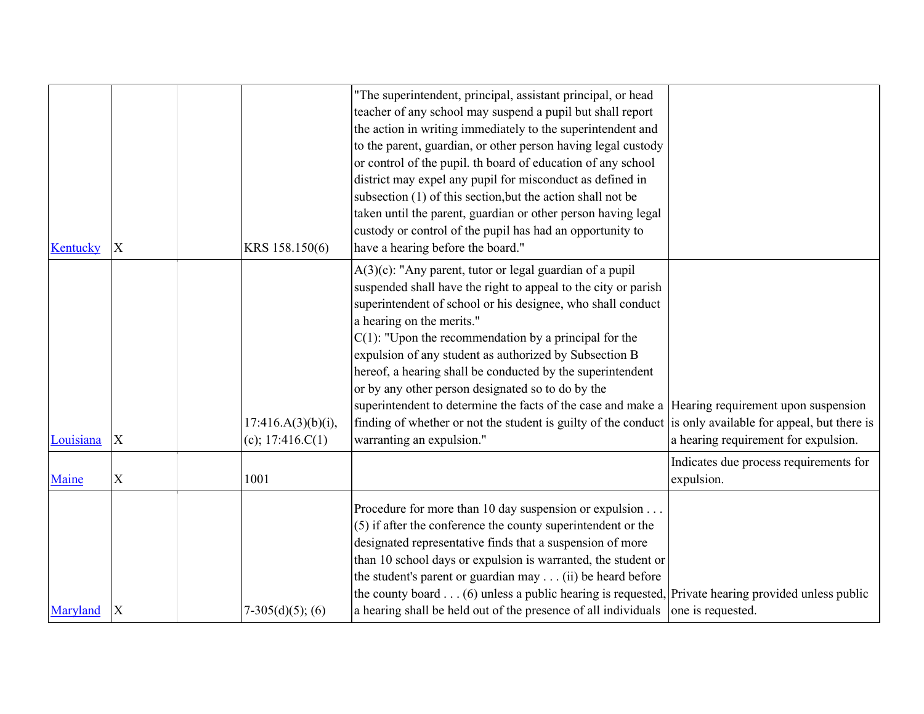| Kentucky  | X                         | KRS 158.150(6)                           | "The superintendent, principal, assistant principal, or head<br>teacher of any school may suspend a pupil but shall report<br>the action in writing immediately to the superintendent and<br>to the parent, guardian, or other person having legal custody<br>or control of the pupil. th board of education of any school<br>district may expel any pupil for misconduct as defined in<br>subsection (1) of this section, but the action shall not be<br>taken until the parent, guardian or other person having legal<br>custody or control of the pupil has had an opportunity to<br>have a hearing before the board."                                                                                     |                                                      |
|-----------|---------------------------|------------------------------------------|---------------------------------------------------------------------------------------------------------------------------------------------------------------------------------------------------------------------------------------------------------------------------------------------------------------------------------------------------------------------------------------------------------------------------------------------------------------------------------------------------------------------------------------------------------------------------------------------------------------------------------------------------------------------------------------------------------------|------------------------------------------------------|
| Louisiana | $\boldsymbol{\mathrm{X}}$ | 17:416.A(3)(b)(i),<br>(c); $17:416.C(1)$ | A(3)(c): "Any parent, tutor or legal guardian of a pupil<br>suspended shall have the right to appeal to the city or parish<br>superintendent of school or his designee, who shall conduct<br>a hearing on the merits."<br>$C(1)$ : "Upon the recommendation by a principal for the<br>expulsion of any student as authorized by Subsection B<br>hereof, a hearing shall be conducted by the superintendent<br>or by any other person designated so to do by the<br>superintendent to determine the facts of the case and make a Hearing requirement upon suspension<br>finding of whether or not the student is guilty of the conduct is only available for appeal, but there is<br>warranting an expulsion." | a hearing requirement for expulsion.                 |
| Maine     | $\mathbf X$               | 1001                                     |                                                                                                                                                                                                                                                                                                                                                                                                                                                                                                                                                                                                                                                                                                               | Indicates due process requirements for<br>expulsion. |
| Maryland  | X                         | $7-305(d)(5)$ ; (6)                      | Procedure for more than 10 day suspension or expulsion<br>(5) if after the conference the county superintendent or the<br>designated representative finds that a suspension of more<br>than 10 school days or expulsion is warranted, the student or<br>the student's parent or guardian may (ii) be heard before<br>the county board $\dots$ (6) unless a public hearing is requested, Private hearing provided unless public<br>a hearing shall be held out of the presence of all individuals                                                                                                                                                                                                              | one is requested.                                    |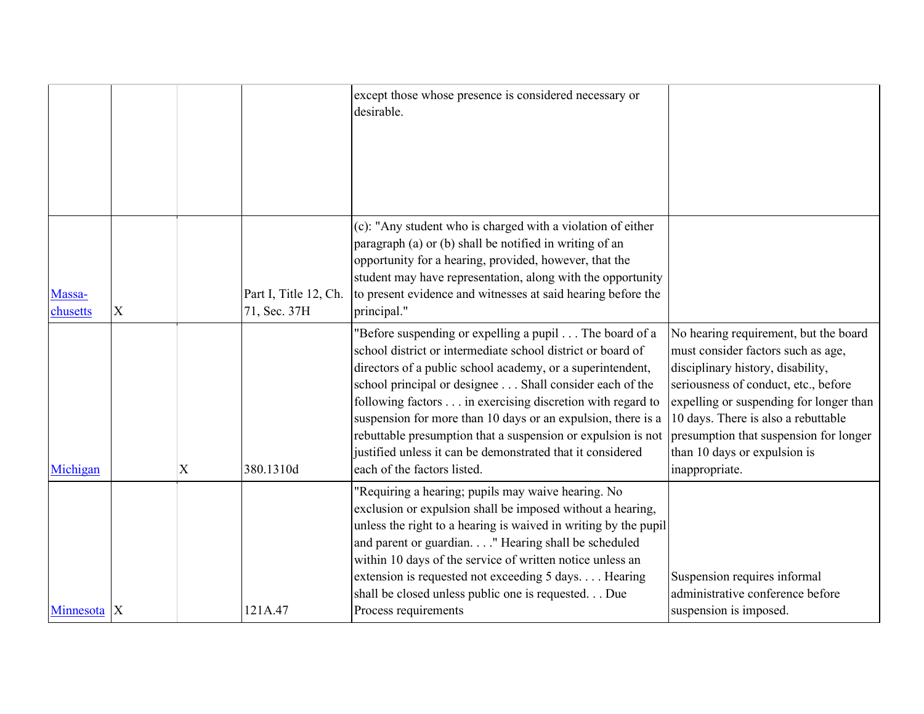|                        |   |   |                                       | except those whose presence is considered necessary or<br>desirable.                                                                                                                                                                                                                                                                                                                                                                                                                                                                     |                                                                                                                                                                                                                                                                                                                                        |
|------------------------|---|---|---------------------------------------|------------------------------------------------------------------------------------------------------------------------------------------------------------------------------------------------------------------------------------------------------------------------------------------------------------------------------------------------------------------------------------------------------------------------------------------------------------------------------------------------------------------------------------------|----------------------------------------------------------------------------------------------------------------------------------------------------------------------------------------------------------------------------------------------------------------------------------------------------------------------------------------|
| Massa-<br>chusetts     | X |   | Part I, Title 12, Ch.<br>71, Sec. 37H | (c): "Any student who is charged with a violation of either<br>paragraph (a) or (b) shall be notified in writing of an<br>opportunity for a hearing, provided, however, that the<br>student may have representation, along with the opportunity<br>to present evidence and witnesses at said hearing before the<br>principal."                                                                                                                                                                                                           |                                                                                                                                                                                                                                                                                                                                        |
| Michigan               |   | X | 380.1310d                             | 'Before suspending or expelling a pupil The board of a<br>school district or intermediate school district or board of<br>directors of a public school academy, or a superintendent,<br>school principal or designee Shall consider each of the<br>following factors in exercising discretion with regard to<br>suspension for more than 10 days or an expulsion, there is a<br>rebuttable presumption that a suspension or expulsion is not<br>justified unless it can be demonstrated that it considered<br>each of the factors listed. | No hearing requirement, but the board<br>must consider factors such as age,<br>disciplinary history, disability,<br>seriousness of conduct, etc., before<br>expelling or suspending for longer than<br>10 days. There is also a rebuttable<br>presumption that suspension for longer<br>than 10 days or expulsion is<br>inappropriate. |
| Minnesota <sub>X</sub> |   |   | 121A.47                               | 'Requiring a hearing; pupils may waive hearing. No<br>exclusion or expulsion shall be imposed without a hearing,<br>unless the right to a hearing is waived in writing by the pupil<br>and parent or guardian. " Hearing shall be scheduled<br>within 10 days of the service of written notice unless an<br>extension is requested not exceeding 5 days Hearing<br>shall be closed unless public one is requested. Due<br>Process requirements                                                                                           | Suspension requires informal<br>administrative conference before<br>suspension is imposed.                                                                                                                                                                                                                                             |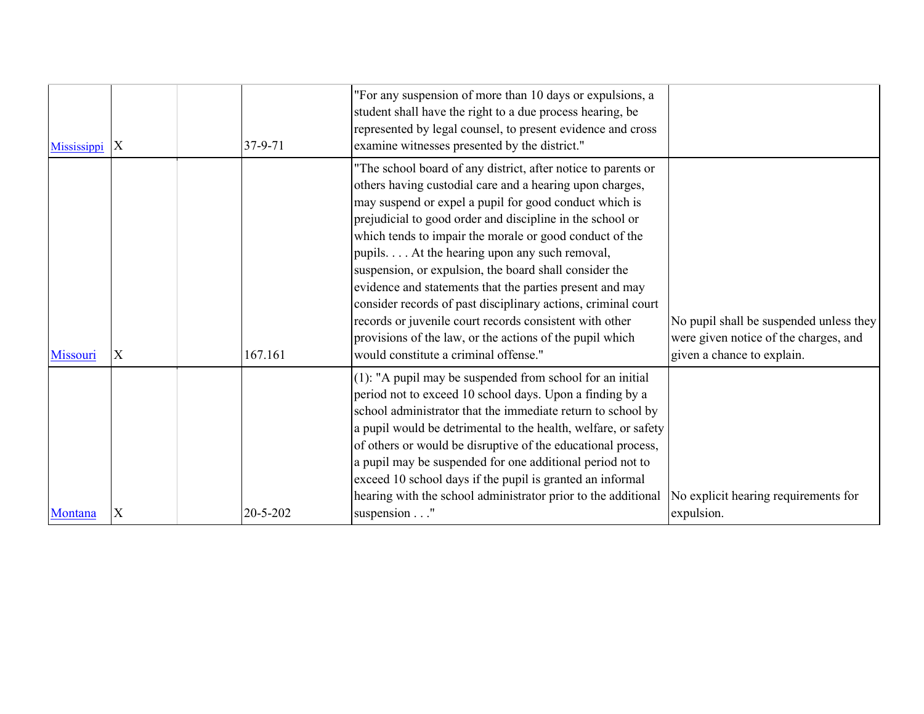| Mississippi | X | $37 - 9 - 71$  | "For any suspension of more than 10 days or expulsions, a<br>student shall have the right to a due process hearing, be<br>represented by legal counsel, to present evidence and cross<br>examine witnesses presented by the district."                                                                                                                                                                                                                                                                                                                                                                                                                                                                              |                                                                                                                |
|-------------|---|----------------|---------------------------------------------------------------------------------------------------------------------------------------------------------------------------------------------------------------------------------------------------------------------------------------------------------------------------------------------------------------------------------------------------------------------------------------------------------------------------------------------------------------------------------------------------------------------------------------------------------------------------------------------------------------------------------------------------------------------|----------------------------------------------------------------------------------------------------------------|
| Missouri    | X | 167.161        | "The school board of any district, after notice to parents or<br>others having custodial care and a hearing upon charges,<br>may suspend or expel a pupil for good conduct which is<br>prejudicial to good order and discipline in the school or<br>which tends to impair the morale or good conduct of the<br>pupils. At the hearing upon any such removal,<br>suspension, or expulsion, the board shall consider the<br>evidence and statements that the parties present and may<br>consider records of past disciplinary actions, criminal court<br>records or juvenile court records consistent with other<br>provisions of the law, or the actions of the pupil which<br>would constitute a criminal offense." | No pupil shall be suspended unless they<br>were given notice of the charges, and<br>given a chance to explain. |
| Montana     | X | $20 - 5 - 202$ | $(1)$ : "A pupil may be suspended from school for an initial<br>period not to exceed 10 school days. Upon a finding by a<br>school administrator that the immediate return to school by<br>a pupil would be detrimental to the health, welfare, or safety<br>of others or would be disruptive of the educational process,<br>a pupil may be suspended for one additional period not to<br>exceed 10 school days if the pupil is granted an informal<br>hearing with the school administrator prior to the additional<br>suspension"                                                                                                                                                                                 | No explicit hearing requirements for<br>expulsion.                                                             |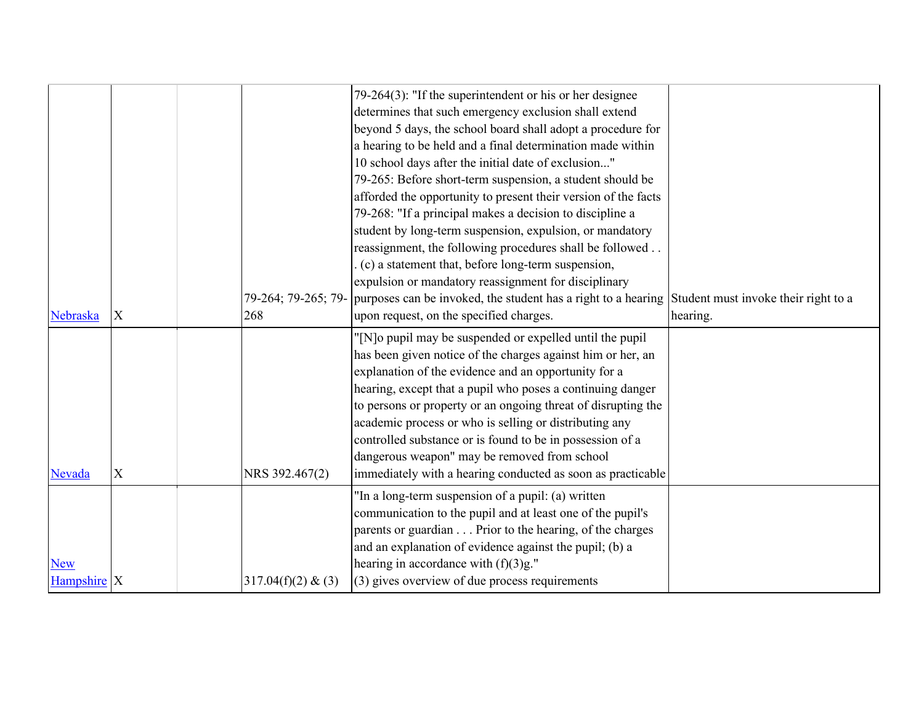|                               |             | 79-264; 79-265; 79- | 79-264(3): "If the superintendent or his or her designee<br>determines that such emergency exclusion shall extend<br>beyond 5 days, the school board shall adopt a procedure for<br>a hearing to be held and a final determination made within<br>10 school days after the initial date of exclusion"<br>79-265: Before short-term suspension, a student should be<br>afforded the opportunity to present their version of the facts<br>79-268: "If a principal makes a decision to discipline a<br>student by long-term suspension, expulsion, or mandatory<br>reassignment, the following procedures shall be followed<br>(c) a statement that, before long-term suspension,<br>expulsion or mandatory reassignment for disciplinary<br>purposes can be invoked, the student has a right to a hearing Student must invoke their right to a |          |
|-------------------------------|-------------|---------------------|----------------------------------------------------------------------------------------------------------------------------------------------------------------------------------------------------------------------------------------------------------------------------------------------------------------------------------------------------------------------------------------------------------------------------------------------------------------------------------------------------------------------------------------------------------------------------------------------------------------------------------------------------------------------------------------------------------------------------------------------------------------------------------------------------------------------------------------------|----------|
| Nebraska                      | X           | 268                 | upon request, on the specified charges.                                                                                                                                                                                                                                                                                                                                                                                                                                                                                                                                                                                                                                                                                                                                                                                                      | hearing. |
| Nevada                        | $\mathbf X$ | NRS 392.467(2)      | "[N]o pupil may be suspended or expelled until the pupil"<br>has been given notice of the charges against him or her, an<br>explanation of the evidence and an opportunity for a<br>hearing, except that a pupil who poses a continuing danger<br>to persons or property or an ongoing threat of disrupting the<br>academic process or who is selling or distributing any<br>controlled substance or is found to be in possession of a<br>dangerous weapon" may be removed from school<br>immediately with a hearing conducted as soon as practicable                                                                                                                                                                                                                                                                                        |          |
| <b>New</b><br>Hampshire $ X $ |             | 317.04(f)(2) & (3)  | "In a long-term suspension of a pupil: (a) written<br>communication to the pupil and at least one of the pupil's<br>parents or guardian Prior to the hearing, of the charges<br>and an explanation of evidence against the pupil; (b) a<br>hearing in accordance with $(f)(3)g$ ."<br>(3) gives overview of due process requirements                                                                                                                                                                                                                                                                                                                                                                                                                                                                                                         |          |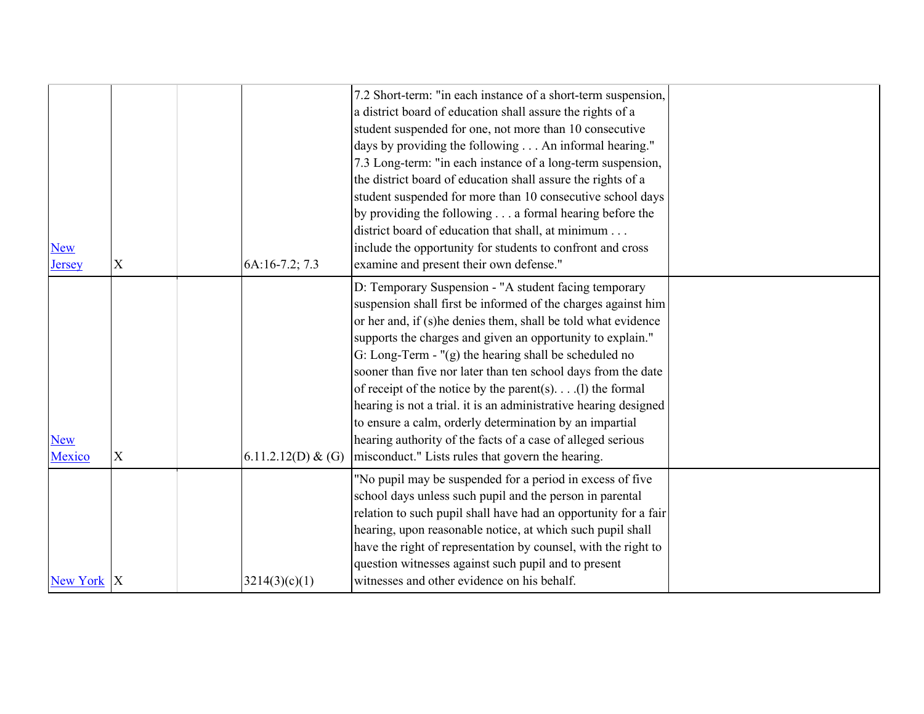|               |             |                    | 7.2 Short-term: "in each instance of a short-term suspension,<br>a district board of education shall assure the rights of a |  |
|---------------|-------------|--------------------|-----------------------------------------------------------------------------------------------------------------------------|--|
|               |             |                    | student suspended for one, not more than 10 consecutive                                                                     |  |
|               |             |                    | days by providing the following An informal hearing."                                                                       |  |
|               |             |                    | 7.3 Long-term: "in each instance of a long-term suspension,                                                                 |  |
|               |             |                    | the district board of education shall assure the rights of a                                                                |  |
|               |             |                    | student suspended for more than 10 consecutive school days                                                                  |  |
|               |             |                    | by providing the following a formal hearing before the                                                                      |  |
|               |             |                    | district board of education that shall, at minimum                                                                          |  |
| <b>New</b>    |             |                    | include the opportunity for students to confront and cross                                                                  |  |
| <b>Jersey</b> | $\mathbf X$ | 6A:16-7.2; 7.3     | examine and present their own defense."                                                                                     |  |
|               |             |                    | D: Temporary Suspension - "A student facing temporary                                                                       |  |
|               |             |                    | suspension shall first be informed of the charges against him                                                               |  |
|               |             |                    | or her and, if (s)he denies them, shall be told what evidence                                                               |  |
|               |             |                    | supports the charges and given an opportunity to explain."                                                                  |  |
|               |             |                    | G: Long-Term - "(g) the hearing shall be scheduled no                                                                       |  |
|               |             |                    | sooner than five nor later than ten school days from the date                                                               |  |
|               |             |                    | of receipt of the notice by the parent(s).(1) the formal                                                                    |  |
|               |             |                    | hearing is not a trial. it is an administrative hearing designed                                                            |  |
|               |             |                    | to ensure a calm, orderly determination by an impartial                                                                     |  |
| <b>New</b>    |             |                    | hearing authority of the facts of a case of alleged serious                                                                 |  |
| Mexico        | $\mathbf X$ | 6.11.2.12(D) & (G) | misconduct." Lists rules that govern the hearing.                                                                           |  |
|               |             |                    | "No pupil may be suspended for a period in excess of five                                                                   |  |
|               |             |                    | school days unless such pupil and the person in parental                                                                    |  |
|               |             |                    | relation to such pupil shall have had an opportunity for a fair                                                             |  |
|               |             |                    | hearing, upon reasonable notice, at which such pupil shall                                                                  |  |
|               |             |                    | have the right of representation by counsel, with the right to                                                              |  |
|               |             |                    | question witnesses against such pupil and to present                                                                        |  |
| New York  X   |             | 3214(3)(c)(1)      | witnesses and other evidence on his behalf.                                                                                 |  |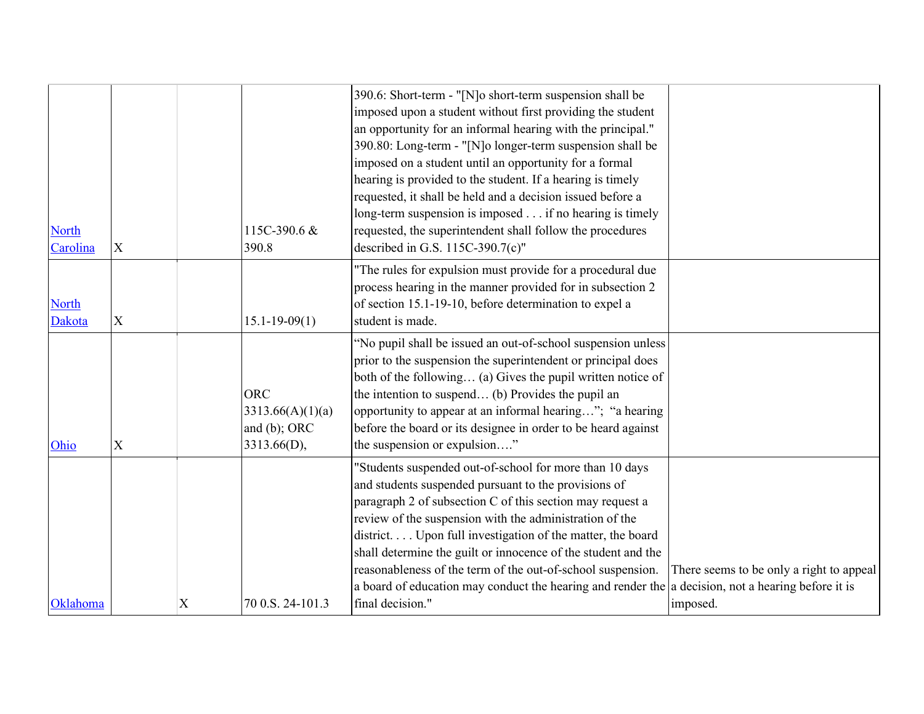| <b>North</b><br>Carolina | $\mathbf X$ |   | 115C-390.6 &<br>390.8                                         | 390.6: Short-term - "[N]o short-term suspension shall be<br>imposed upon a student without first providing the student<br>an opportunity for an informal hearing with the principal."<br>390.80: Long-term - "[N]o longer-term suspension shall be<br>imposed on a student until an opportunity for a formal<br>hearing is provided to the student. If a hearing is timely<br>requested, it shall be held and a decision issued before a<br>long-term suspension is imposed if no hearing is timely<br>requested, the superintendent shall follow the procedures<br>described in G.S. 115C-390.7(c)" |                                                      |
|--------------------------|-------------|---|---------------------------------------------------------------|------------------------------------------------------------------------------------------------------------------------------------------------------------------------------------------------------------------------------------------------------------------------------------------------------------------------------------------------------------------------------------------------------------------------------------------------------------------------------------------------------------------------------------------------------------------------------------------------------|------------------------------------------------------|
| <b>North</b><br>Dakota   | $\mathbf X$ |   | $15.1 - 19 - 09(1)$                                           | "The rules for expulsion must provide for a procedural due<br>process hearing in the manner provided for in subsection 2<br>of section 15.1-19-10, before determination to expel a<br>student is made.                                                                                                                                                                                                                                                                                                                                                                                               |                                                      |
| Ohio                     | $\mathbf X$ |   | <b>ORC</b><br>3313.66(A)(1)(a)<br>and (b); ORC<br>3313.66(D), | "No pupil shall be issued an out-of-school suspension unless<br>prior to the suspension the superintendent or principal does<br>both of the following (a) Gives the pupil written notice of<br>the intention to suspend (b) Provides the pupil an<br>opportunity to appear at an informal hearing"; "a hearing<br>before the board or its designee in order to be heard against<br>the suspension or expulsion"                                                                                                                                                                                      |                                                      |
| Oklahoma                 |             | X | 70 0.S. 24-101.3                                              | "Students suspended out-of-school for more than 10 days<br>and students suspended pursuant to the provisions of<br>paragraph 2 of subsection C of this section may request a<br>review of the suspension with the administration of the<br>district Upon full investigation of the matter, the board<br>shall determine the guilt or innocence of the student and the<br>reasonableness of the term of the out-of-school suspension.<br>a board of education may conduct the hearing and render the a decision, not a hearing before it is<br>final decision."                                       | There seems to be only a right to appeal<br>imposed. |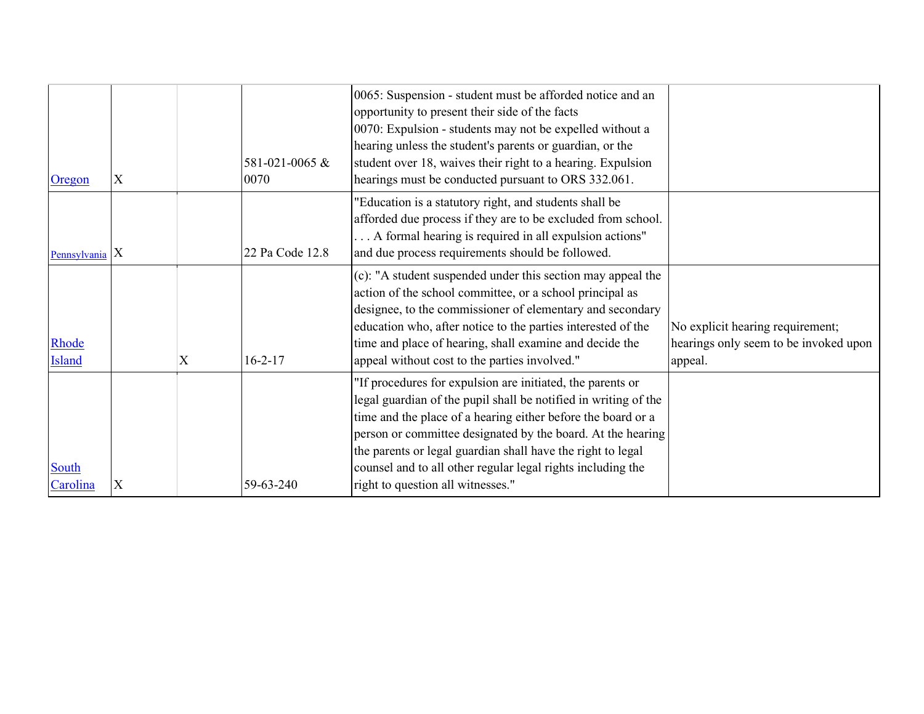| Oregon                 | X |   | 581-021-0065 &<br>0070 | 0065: Suspension - student must be afforded notice and an<br>opportunity to present their side of the facts<br>0070: Expulsion - students may not be expelled without a<br>hearing unless the student's parents or guardian, or the<br>student over 18, waives their right to a hearing. Expulsion<br>hearings must be conducted pursuant to ORS 332.061.                                                                       |                                                                                      |
|------------------------|---|---|------------------------|---------------------------------------------------------------------------------------------------------------------------------------------------------------------------------------------------------------------------------------------------------------------------------------------------------------------------------------------------------------------------------------------------------------------------------|--------------------------------------------------------------------------------------|
| Pennsylvania $X$       |   |   | 22 Pa Code 12.8        | "Education is a statutory right, and students shall be<br>afforded due process if they are to be excluded from school.<br>A formal hearing is required in all expulsion actions"<br>and due process requirements should be followed.                                                                                                                                                                                            |                                                                                      |
| Rhode<br><b>Island</b> |   | X | $16 - 2 - 17$          | (c): "A student suspended under this section may appeal the<br>action of the school committee, or a school principal as<br>designee, to the commissioner of elementary and secondary<br>education who, after notice to the parties interested of the<br>time and place of hearing, shall examine and decide the<br>appeal without cost to the parties involved."                                                                | No explicit hearing requirement;<br>hearings only seem to be invoked upon<br>appeal. |
| South<br>Carolina      | X |   | 59-63-240              | "If procedures for expulsion are initiated, the parents or<br>legal guardian of the pupil shall be notified in writing of the<br>time and the place of a hearing either before the board or a<br>person or committee designated by the board. At the hearing<br>the parents or legal guardian shall have the right to legal<br>counsel and to all other regular legal rights including the<br>right to question all witnesses." |                                                                                      |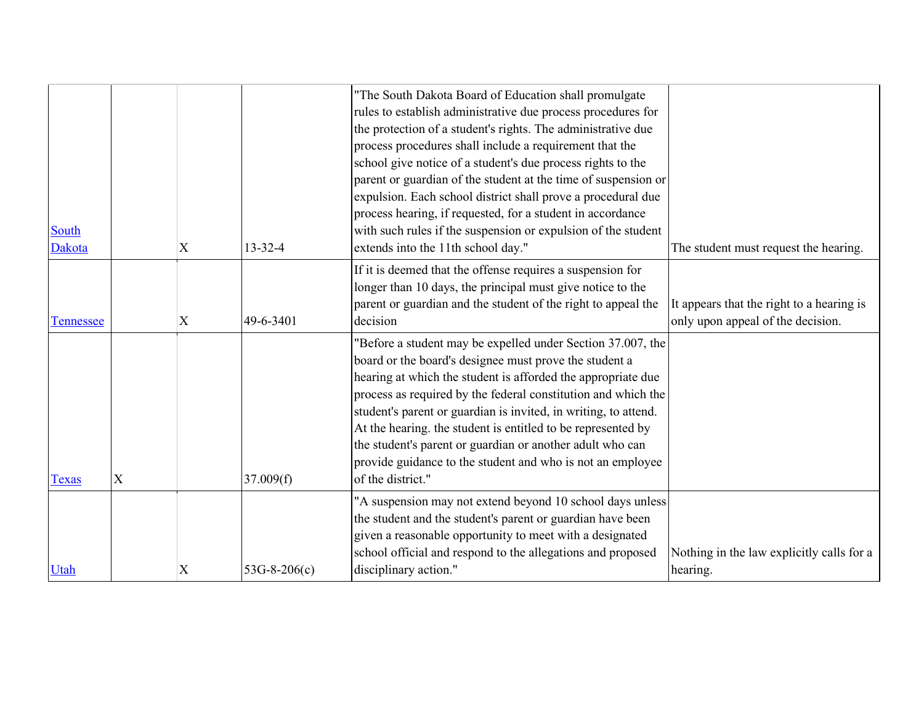|                  |                           |                           |                | "The South Dakota Board of Education shall promulgate<br>rules to establish administrative due process procedures for<br>the protection of a student's rights. The administrative due<br>process procedures shall include a requirement that the<br>school give notice of a student's due process rights to the<br>parent or guardian of the student at the time of suspension or<br>expulsion. Each school district shall prove a procedural due<br>process hearing, if requested, for a student in accordance                           |                                                                                |
|------------------|---------------------------|---------------------------|----------------|-------------------------------------------------------------------------------------------------------------------------------------------------------------------------------------------------------------------------------------------------------------------------------------------------------------------------------------------------------------------------------------------------------------------------------------------------------------------------------------------------------------------------------------------|--------------------------------------------------------------------------------|
| South<br>Dakota  |                           | $\boldsymbol{\mathrm{X}}$ | 13-32-4        | with such rules if the suspension or expulsion of the student<br>extends into the 11th school day."                                                                                                                                                                                                                                                                                                                                                                                                                                       | The student must request the hearing.                                          |
| <b>Tennessee</b> |                           | $\boldsymbol{\mathrm{X}}$ | 49-6-3401      | If it is deemed that the offense requires a suspension for<br>longer than 10 days, the principal must give notice to the<br>parent or guardian and the student of the right to appeal the<br>decision                                                                                                                                                                                                                                                                                                                                     | It appears that the right to a hearing is<br>only upon appeal of the decision. |
| <b>Texas</b>     | $\boldsymbol{\mathrm{X}}$ |                           | 37.009(f)      | "Before a student may be expelled under Section 37.007, the<br>board or the board's designee must prove the student a<br>hearing at which the student is afforded the appropriate due<br>process as required by the federal constitution and which the<br>student's parent or guardian is invited, in writing, to attend.<br>At the hearing. the student is entitled to be represented by<br>the student's parent or guardian or another adult who can<br>provide guidance to the student and who is not an employee<br>of the district." |                                                                                |
| Utah             |                           | X                         | $53G-8-206(c)$ | "A suspension may not extend beyond 10 school days unless<br>the student and the student's parent or guardian have been<br>given a reasonable opportunity to meet with a designated<br>school official and respond to the allegations and proposed<br>disciplinary action."                                                                                                                                                                                                                                                               | Nothing in the law explicitly calls for a<br>hearing.                          |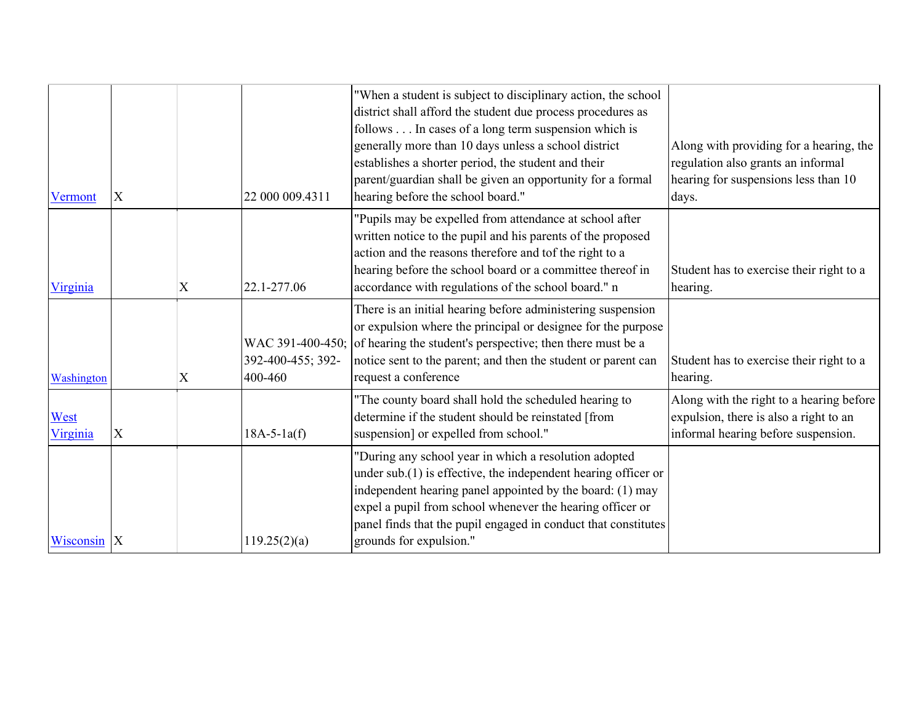| Vermont          | X                         |   | 22 000 009.4311                                  | "When a student is subject to disciplinary action, the school<br>district shall afford the student due process procedures as<br>follows In cases of a long term suspension which is<br>generally more than 10 days unless a school district<br>establishes a shorter period, the student and their<br>parent/guardian shall be given an opportunity for a formal<br>hearing before the school board." | Along with providing for a hearing, the<br>regulation also grants an informal<br>hearing for suspensions less than 10<br>days. |
|------------------|---------------------------|---|--------------------------------------------------|-------------------------------------------------------------------------------------------------------------------------------------------------------------------------------------------------------------------------------------------------------------------------------------------------------------------------------------------------------------------------------------------------------|--------------------------------------------------------------------------------------------------------------------------------|
| Virginia         |                           | X | 22.1-277.06                                      | "Pupils may be expelled from attendance at school after<br>written notice to the pupil and his parents of the proposed<br>action and the reasons therefore and tof the right to a<br>hearing before the school board or a committee thereof in<br>accordance with regulations of the school board." n                                                                                                 | Student has to exercise their right to a<br>hearing.                                                                           |
| Washington       |                           | X | WAC 391-400-450;<br>392-400-455; 392-<br>400-460 | There is an initial hearing before administering suspension<br>or expulsion where the principal or designee for the purpose<br>of hearing the student's perspective; then there must be a<br>notice sent to the parent; and then the student or parent can<br>request a conference                                                                                                                    | Student has to exercise their right to a<br>hearing.                                                                           |
| West<br>Virginia | $\boldsymbol{\mathrm{X}}$ |   | $18A-5-1a(f)$                                    | "The county board shall hold the scheduled hearing to<br>determine if the student should be reinstated [from<br>suspension] or expelled from school."                                                                                                                                                                                                                                                 | Along with the right to a hearing before<br>expulsion, there is also a right to an<br>informal hearing before suspension.      |
| Wisconsin        | X                         |   | 119.25(2)(a)                                     | "During any school year in which a resolution adopted<br>under $sub.(1)$ is effective, the independent hearing officer or<br>independent hearing panel appointed by the board: (1) may<br>expel a pupil from school whenever the hearing officer or<br>panel finds that the pupil engaged in conduct that constitutes<br>grounds for expulsion."                                                      |                                                                                                                                |